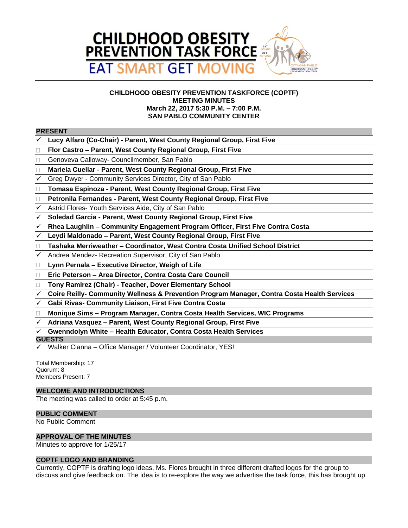

# **CHILDHOOD OBESITY PREVENTION TASKFORCE (COPTF) MEETING MINUTES March 22, 2017 5:30 P.M. – 7:00 P.M. SAN PABLO COMMUNITY CENTER**

#### **PRESENT**

- **Lucy Alfaro (Co-Chair) Parent, West County Regional Group, First Five**
- **Flor Castro – Parent, West County Regional Group, First Five**
- □ Genoveva Calloway- Councilmember, San Pablo
- **Mariela Cuellar Parent, West County Regional Group, First Five**
- Greg Dwyer Community Services Director, City of San Pablo
- **Tomasa Espinoza Parent, West County Regional Group, First Five**
- **Petronila Fernandes Parent, West County Regional Group, First Five**
- Astrid Flores- Youth Services Aide, City of San Pablo
- **Soledad Garcia Parent, West County Regional Group, First Five**
- **Rhea Laughlin – Community Engagement Program Officer, First Five Contra Costa**
- **Leydi Maldonado – Parent, West County Regional Group, First Five**
- **Tashaka Merriweather – Coordinator, West Contra Costa Unified School District**
- $\checkmark$  Andrea Mendez- Recreation Supervisor, City of San Pablo
- **Lynn Pernala – Executive Director, Weigh of Life**
- **Eric Peterson – Area Director, Contra Costa Care Council**
- **Tony Ramirez (Chair) Teacher, Dover Elementary School**
- **Coire Reilly- Community Wellness & Prevention Program Manager, Contra Costa Health Services**
- **Gabi Rivas- Community Liaison, First Five Contra Costa**
- **Monique Sims – Program Manager, Contra Costa Health Services, WIC Programs**
- **Adriana Vasquez – Parent, West County Regional Group, First Five**
- **Gwenndolyn White – Health Educator, Contra Costa Health Services**

#### **GUESTS**

Walker Cianna – Office Manager / Volunteer Coordinator, YES!

Total Membership: 17 Quorum: 8 Members Present: 7

## **WELCOME AND INTRODUCTIONS**

The meeting was called to order at 5:45 p.m.

# **PUBLIC COMMENT**

No Public Comment

#### **APPROVAL OF THE MINUTES**

Minutes to approve for 1/25/17

#### **COPTF LOGO AND BRANDING**

Currently, COPTF is drafting logo ideas, Ms. Flores brought in three different drafted logos for the group to discuss and give feedback on. The idea is to re-explore the way we advertise the task force, this has brought up